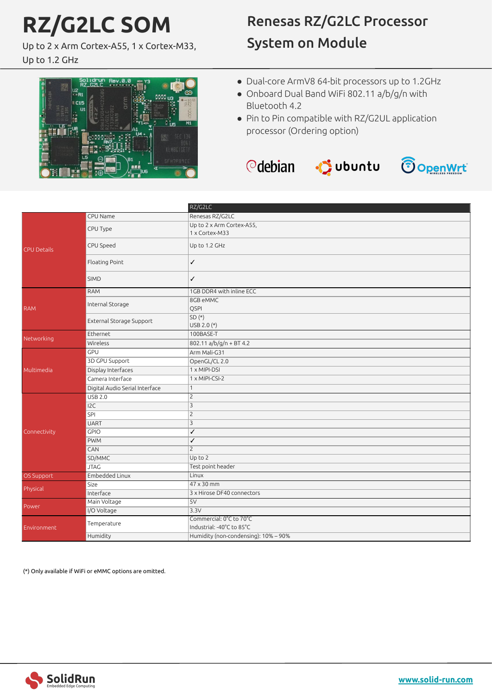## **RZ/G2LC SOM**

Solidrur<br>RZ G2LC

Up to 2 x Arm Cortex-A55, 1 x Cortex-M33,

**Rev.0.** 

Up to 1.2 GHz

## Renesas RZ/G2LC Processor System on Module

- Dual-core ArmV8 64-bit processors up to 1.2GHz
- Onboard Dual Band WiFi 802.11 a/b/g/n with Bluetooth 4.2
- Pin to Pin compatible with RZ/G2UL application processor (Ordering option)





| л.<br><b>WIRELESS FREEDOM</b> |
|-------------------------------|
|                               |
|                               |

|                    |                                | RZ/G2LC                              |
|--------------------|--------------------------------|--------------------------------------|
|                    | CPU Name                       | Renesas RZ/G2LC                      |
| <b>CPU Details</b> | CPU Type                       | Up to 2 x Arm Cortex-A55,            |
|                    |                                | 1 x Cortex-M33                       |
|                    | CPU Speed                      | Up to 1.2 GHz                        |
|                    | Floating Point                 | $\checkmark$                         |
|                    | <b>SIMD</b>                    | $\checkmark$                         |
| <b>RAM</b>         | <b>RAM</b>                     | 1GB DDR4 with inline ECC             |
|                    | Internal Storage               | 8GB eMMC<br>QSPI                     |
|                    | External Storage Support       | $SD(*)$<br>USB 2.0 (*)               |
|                    | Ethernet                       | 100BASE-T                            |
| Networking         | Wireless                       | 802.11 a/b/g/n + BT 4.2              |
|                    | GPU                            | Arm Mali-G31                         |
|                    | 3D GPU Support                 | OpenGL/CL 2.0                        |
| Multimedia         | Display Interfaces             | 1 x MIPI-DSI                         |
|                    | Camera Interface               | 1 x MIPI-CSI-2                       |
|                    | Digital Audio Serial Interface | $\mathbf{1}$                         |
|                    | <b>USB 2.0</b>                 | $\overline{c}$                       |
|                    | 12C                            | $\mathsf 3$                          |
|                    | SPI                            | $\overline{c}$                       |
| Connectivity       | <b>UART</b>                    | 3                                    |
|                    | <b>GPIO</b>                    | $\checkmark$                         |
|                    | <b>PWM</b>                     | $\checkmark$                         |
|                    | CAN                            | $\overline{c}$                       |
|                    | SD/MMC                         | Up to 2                              |
|                    | <b>JTAG</b>                    | Test point header                    |
| OS Support         | Embedded Linux                 | Linux                                |
| Physical           | Size                           | $47 \times 30$ mm                    |
|                    | Interface                      | 3 x Hirose DF40 connectors           |
| Power              | Main Voltage                   | 5V                                   |
|                    | I/O Voltage                    | 3.3V                                 |
|                    | Temperature                    | Commercial: 0°C to 70°C              |
| Environment        |                                | Industrial: -40°C to 85°C            |
|                    | Humidity                       | Humidity (non-condensing): 10% - 90% |

(\*) Only available if WiFi or eMMC options are omitted.